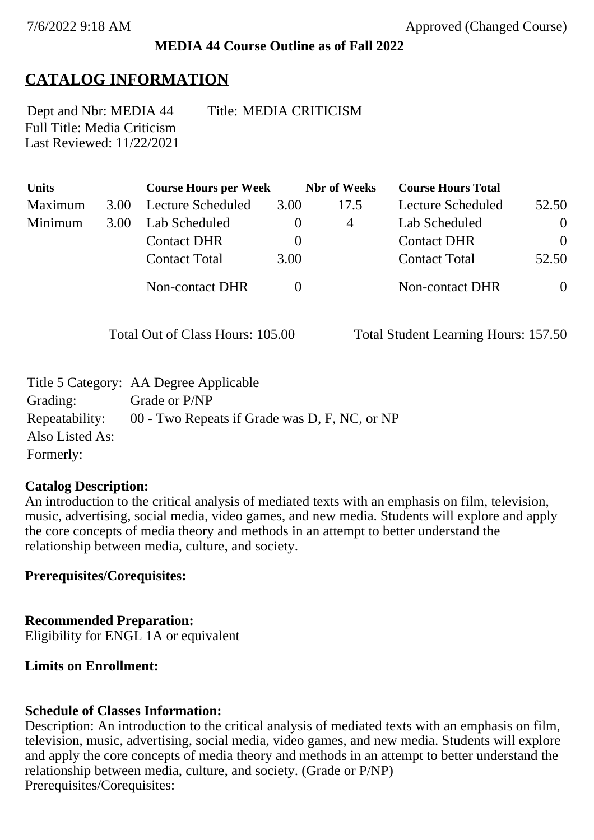## **MEDIA 44 Course Outline as of Fall 2022**

# **CATALOG INFORMATION**

Full Title: Media Criticism Last Reviewed: 11/22/2021 Dept and Nbr: MEDIA 44 Title: MEDIA CRITICISM

| <b>Units</b> |      | <b>Course Hours per Week</b> |          | <b>Nbr</b> of Weeks | <b>Course Hours Total</b> |                |
|--------------|------|------------------------------|----------|---------------------|---------------------------|----------------|
| Maximum      | 3.00 | Lecture Scheduled            | 3.00     | 17.5                | Lecture Scheduled         | 52.50          |
| Minimum      | 3.00 | Lab Scheduled                | O        | 4                   | Lab Scheduled             | $\overline{0}$ |
|              |      | <b>Contact DHR</b>           | $\theta$ |                     | <b>Contact DHR</b>        | $\theta$       |
|              |      | <b>Contact Total</b>         | 3.00     |                     | <b>Contact Total</b>      | 52.50          |
|              |      | Non-contact DHR              |          |                     | <b>Non-contact DHR</b>    | $\overline{0}$ |

Total Out of Class Hours: 105.00 Total Student Learning Hours: 157.50

|                 | Title 5 Category: AA Degree Applicable        |
|-----------------|-----------------------------------------------|
| Grading:        | Grade or P/NP                                 |
| Repeatability:  | 00 - Two Repeats if Grade was D, F, NC, or NP |
| Also Listed As: |                                               |
| Formerly:       |                                               |

## **Catalog Description:**

An introduction to the critical analysis of mediated texts with an emphasis on film, television, music, advertising, social media, video games, and new media. Students will explore and apply the core concepts of media theory and methods in an attempt to better understand the relationship between media, culture, and society.

**Prerequisites/Corequisites:**

**Recommended Preparation:** Eligibility for ENGL 1A or equivalent

# **Limits on Enrollment:**

## **Schedule of Classes Information:**

Description: An introduction to the critical analysis of mediated texts with an emphasis on film, television, music, advertising, social media, video games, and new media. Students will explore and apply the core concepts of media theory and methods in an attempt to better understand the relationship between media, culture, and society. (Grade or P/NP) Prerequisites/Corequisites: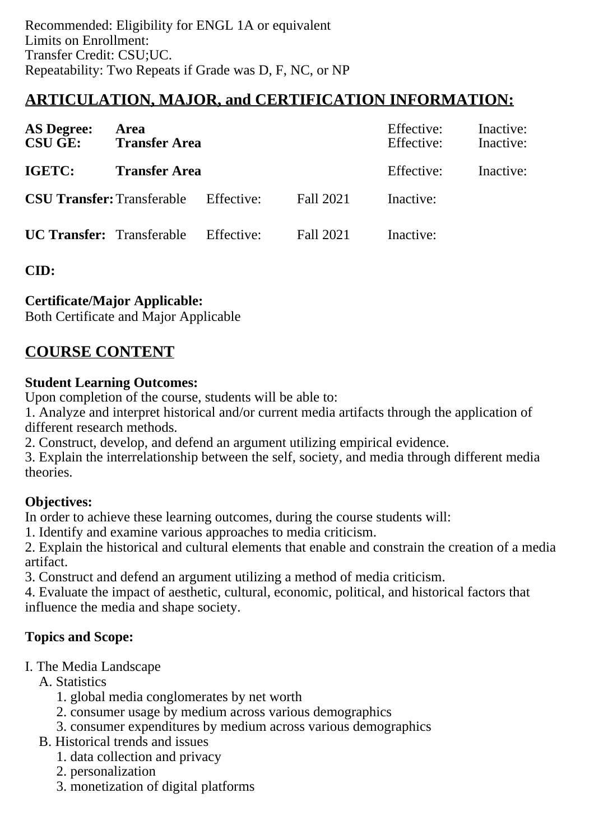## **ARTICULATION, MAJOR, and CERTIFICATION INFORMATION:**

| <b>AS Degree:</b><br><b>CSU GE:</b> | Area<br><b>Transfer Area</b>                 |  | Effective:<br>Effective:<br>Effective: | Inactive:<br>Inactive:<br>Inactive: |  |
|-------------------------------------|----------------------------------------------|--|----------------------------------------|-------------------------------------|--|
| IGETC:                              | <b>Transfer Area</b>                         |  |                                        |                                     |  |
|                                     | <b>CSU Transfer:</b> Transferable Effective: |  | Fall 2021                              | Inactive:                           |  |
|                                     | <b>UC Transfer:</b> Transferable Effective:  |  | Fall 2021                              | Inactive:                           |  |

**CID:**

### **Certificate/Major Applicable:**

[Both Certificate and Major Applicable](SR_ClassCheck.aspx?CourseKey=MEDIA44)

## **COURSE CONTENT**

#### **Student Learning Outcomes:**

Upon completion of the course, students will be able to:

1. Analyze and interpret historical and/or current media artifacts through the application of different research methods.

2. Construct, develop, and defend an argument utilizing empirical evidence.

3. Explain the interrelationship between the self, society, and media through different media theories.

### **Objectives:**

In order to achieve these learning outcomes, during the course students will:

1. Identify and examine various approaches to media criticism.

2. Explain the historical and cultural elements that enable and constrain the creation of a media artifact.

3. Construct and defend an argument utilizing a method of media criticism.

4. Evaluate the impact of aesthetic, cultural, economic, political, and historical factors that influence the media and shape society.

### **Topics and Scope:**

I. The Media Landscape

A. Statistics

- 1. global media conglomerates by net worth
- 2. consumer usage by medium across various demographics
- 3. consumer expenditures by medium across various demographics
- B. Historical trends and issues
	- 1. data collection and privacy
	- 2. personalization
	- 3. monetization of digital platforms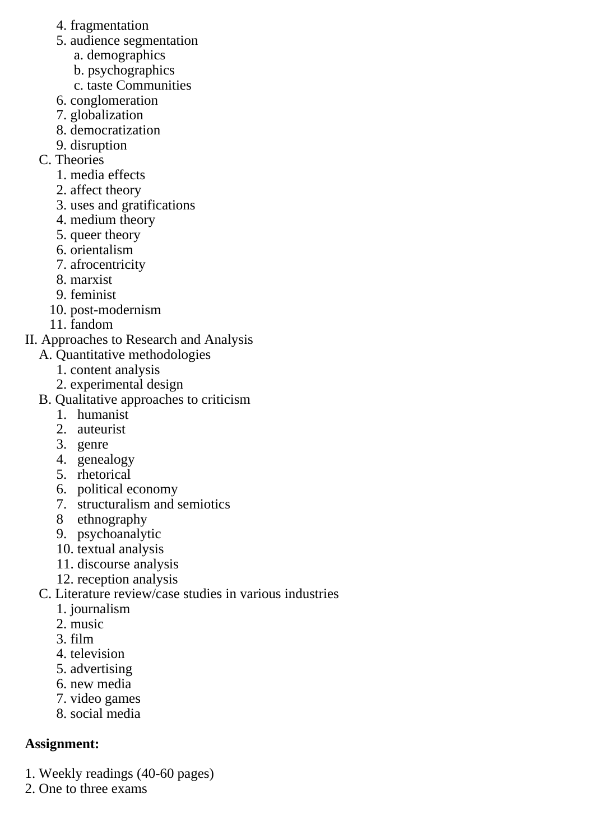- 4. fragmentation
- 5. audience segmentation
	- a. demographics
	- b. psychographics
	- c. taste Communities
- 6. conglomeration
- 7. globalization
- 8. democratization
- 9. disruption
- C. Theories
	- 1. media effects
	- 2. affect theory
	- 3. uses and gratifications
	- 4. medium theory
	- 5. queer theory
	- 6. orientalism
	- 7. afrocentricity
	- 8. marxist
	- 9. feminist
	- 10. post-modernism
	- 11. fandom
- II. Approaches to Research and Analysis
	- A. Quantitative methodologies
		- 1. content analysis
		- 2. experimental design
	- B. Qualitative approaches to criticism
		- 1. humanist
		- 2. auteurist
		- 3. genre
		- 4. genealogy
		- 5. rhetorical
		- 6. political economy
		- 7. structuralism and semiotics
		- 8 ethnography
		- 9. psychoanalytic
		- 10. textual analysis
		- 11. discourse analysis
		- 12. reception analysis
	- C. Literature review/case studies in various industries
		- 1. journalism
		- 2. music
		- 3. film
		- 4. television
		- 5. advertising
		- 6. new media
		- 7. video games
		- 8. social media

# **Assignment:**

- 1. Weekly readings (40-60 pages)
- 2. One to three exams